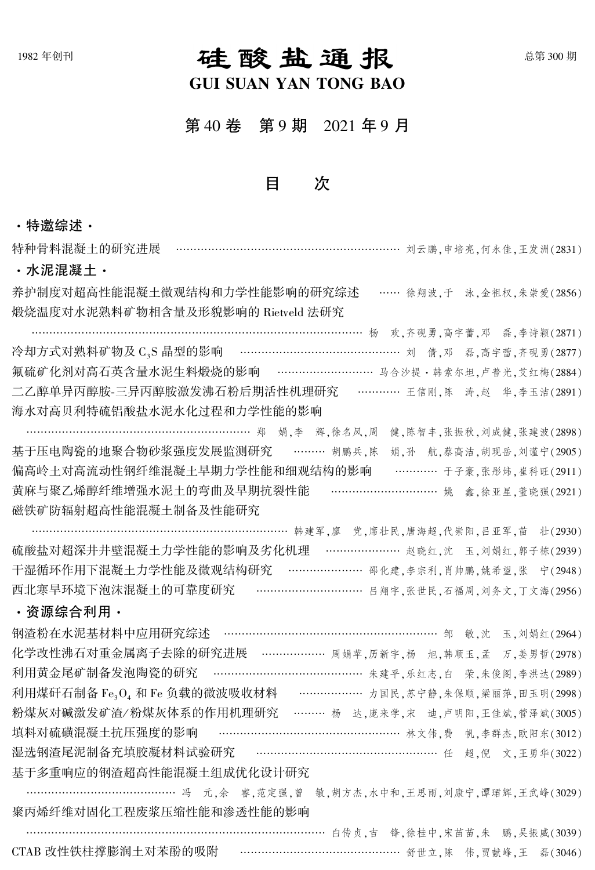# 1982年创刊 - 石圭西灸主 , 二 石圭西灸 , 二 石圭 , 二 面 , 二 计反 , 【 】 总第300 期

# GUI SUAN YAN TONG BAO

第 40 卷 第 9 期 2021 年 9 月

目 次

### ·特邀综述·

特种骨料混凝土的研究进展 …………………………………………………………… 刘云鹏,申培亮,何永佳,王发洲(2831) ·水泥混凝土· 养护制度对超高性能混凝土微观结构和力学性能影响的研究综述 …… 徐翔波,于 泳,金祖权,朱崇爱(2856) 煅烧温度对水泥熟料矿物相含量及形貌影响的 Rietveld 法研究 ………………………………………………………………………………… 杨 欢,齐砚勇,高宇蕾,邓 磊,李诗颖(2871) 冷却方式对熟料矿物及 C<sup>3</sup> S 晶型的影响 ……………………………………… <sup>刘</sup> <sup>倩</sup>,<sup>邓</sup> <sup>磊</sup>,高宇蕾,齐砚勇(2877) 氟硫矿化剂对高石英含量水泥生料煅烧的影响 ………………………… 马合沙提·韩索尔坦,卢普光,艾红梅(2884) 二乙醇单异丙醇胺-三异丙醇胺激发沸石粉后期活性机理研究 ………… 王信刚,陈 涛,赵 华,李玉洁(2891) 海水对高贝利特硫铝酸盐水泥水化过程和力学性能的影响 ………………………………………………………………… 郑 娟,李 辉,徐名凤,周 健,陈智丰,张振秋,刘成健,张建波(2898) 基于压电陶瓷的地聚合物砂浆强度发展监测研究 ……… 胡鹏兵,陈 娟,孙 航,蔡高洁,胡现岳,刘谨宁(2905) 偏高岭土对高流动性钢纤维混凝土早期力学性能和细观结构的影响 ………… 于子豪,张彤炜,崔科旺(2911) 黄麻与聚乙烯醇纤维增强水泥土的弯曲及早期抗裂性能 ………………………… 姚 鑫,徐亚星,董晓强(2921) 磁铁矿防辐射超高性能混凝土制备及性能研究 ……………………………………………………………… 韩建军,廖 党,席壮民,唐海超,代崇阳,吕亚军,苗 壮(2930) 硫酸盐对超深井井壁混凝土力学性能的影响及劣化机理 ………………… 赵晓红,沈 玉,刘娟红,郭子栋(2939) 干湿循环作用下混凝土力学性能及微观结构研究 ………………… 邵化建,李宗利,肖帅鹏,姚希望,张 宁(2948) 西北寒旱环境下泡沫混凝土的可靠度研究 ………………………… 吕翔宇,张世民,石福周,刘务文,丁文海(2956) ·资源综合利用· 钢渣粉在水泥基材料中应用研究综述 ………………………………………………………… 邹 敏,沈 玉,刘娟红(2964) 化学改性沸石对重金属离子去除的研究进展 ……………… 周娟苹,历新宇,杨 旭,韩顺玉,孟 万,姜男哲(2978) 利用黄金尾矿制备发泡陶瓷的研究 …………………………………… 朱建平,乐红志,白 荣,朱俊阁,李洪达(2989) 利用煤矸石制备 Fe<sub>3</sub>O<sub>4</sub> 和 Fe 负载的微波吸收材料 ………………… 力国民,苏宁静,朱保顺,梁丽萍,田玉明(2998) 粉煤灰对碱激发矿渣/粉煤灰体系的作用机理研究 ……… 杨 达,庞来学,宋 迪,卢明阳,王佳斌,管泽斌(3005) 填料对硫磺混凝土抗压强度的影响 ……………………………………………… 林文伟,费 帆,李群杰,欧阳东(3012) 湿选钢渣尾泥制备充填胶凝材料试验研究 …………………………………………… 任 超,倪 文,王勇华(3022) 基于多重响应的钢渣超高性能混凝土组成优化设计研究 ………………………………………… 冯 元,余 睿,范定强,曾 敏,胡方杰,水中和,王思雨,刘康宁,谭珺辉,王武峰(3029) 聚丙烯纤维对固化工程废浆压缩性能和渗透性能的影响 ……………………………………………………………………………… 白传贞,吉 锋,徐桂中,宋苗苗,朱 鹏,吴振威(3039) CTAB 改性铁柱撑膨润土对苯酚的吸附 ……………………………………… 舒世立,陈 伟,贾献峰,王 磊(3046)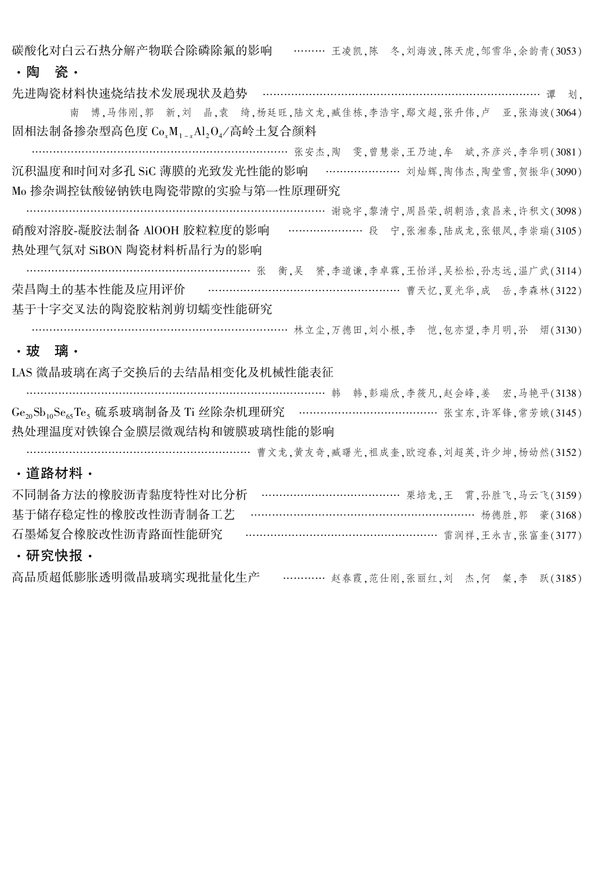碳酸化对白云石热分解产物联合除磷除氟的影响 ……… 王凌凯,陈 冬,刘海波,陈天虎,邹雪华,余韵青(3053)

### ·陶 瓷·

先进陶瓷材料快速烧结技术发展现状及趋势 …………………………………………………………………… 谭 划,

南 博,马伟刚,郭 新,刘 晶,袁 绮,杨廷旺,陆文龙,臧佳栋,李浩宇,鄢文超,张升伟,卢 亚,张海波(3064) 固相法制备掺杂型高色度  $\rm Co_{_{x}}M_{1-x}Al_{2}O_{4}}/\bar{\rm e}$ 岭土复合颜料

………………………………………………………………… 张安杰,陶 雯,曾慧崇,王乃迪,牟 斌,齐彦兴,李华明(3081) 沉积温度和时间对多孔 SiC 薄膜的光致发光性能的影响 ………………… 刘灿辉,陶伟杰,陶莹雪,贺振华(3090) Mo 掺杂调控钛酸铋钠铁电陶瓷带隙的实验与第一性原理研究

…………………………………………………………………………… 谢晓宇,黎清宁,周昌荣,胡朝浩,袁昌来,许积文(3098) 硝酸对溶胶-凝胶法制备 AlOOH 胶粒粒度的影响 ………………… 段 宁,张湘泰,陆成龙,张银凤,李崇瑞(3105) 热处理气氛对 SiBON 陶瓷材料析晶行为的影响

…………………………………………………………… 张 衡,吴 赟,李道谦,李卓霖,王怡洋,吴松松,孙志远,温广武(3114) 荣昌陶土的基本性能及应用评价 ………………………………………………………… 曹天忆,夏光华,成 岳,李森林(3122) 基于十字交叉法的陶瓷胶粘剂剪切蠕变性能研究

……………………………………………………………………… 林立尘,万德田,刘小根,李 恺,包亦望,李月明,孙 熠(3130)

### ·玻 璃·

LAS 微晶玻璃在离子交换后的去结晶相变化及机械性能表征

………………………………………………………………………… 韩 韩,彭瑞欣,李筱凡,赵会峰,姜 宏,马艳平(3138) Ge<sub>20</sub>Sb<sub>10</sub>Se<sub>65</sub>Te<sub>5</sub> 硫系玻璃制备及 Ti 丝除杂机理研究 ………………………………… 张宝东,许军锋,常芳娥(3145) 热处理温度对铁镍合金膜层微观结构和镀膜玻璃性能的影响

……………………………………………………… 曹文龙,黄友奇,臧曙光,祖成奎,欧迎春,刘超英,许少坤,杨幼然(3152)

### ·道路材料·

| 不同制备方法的橡胶沥青黏度特性对比分析 ………………………………… 栗培龙,王 霄,孙胜飞,马云飞(3159) |  |  |  |
|---------------------------------------------------------|--|--|--|
| 基于储存稳定性的橡胶改性沥青制备工艺 …………………………………………………… 杨德胜,郭 豪(3168)   |  |  |  |
| 石墨烯复合橡胶改性沥青路面性能研究  ……………………………………………… 雷润祥,王永吉,张富奎(3177) |  |  |  |
| ・研究快报・                                                  |  |  |  |

高品质超低膨胀透明微晶玻璃实现批量化生产 ………… 赵春霞,范仕刚,张丽红,刘 杰,何 粲,李 跃(3185)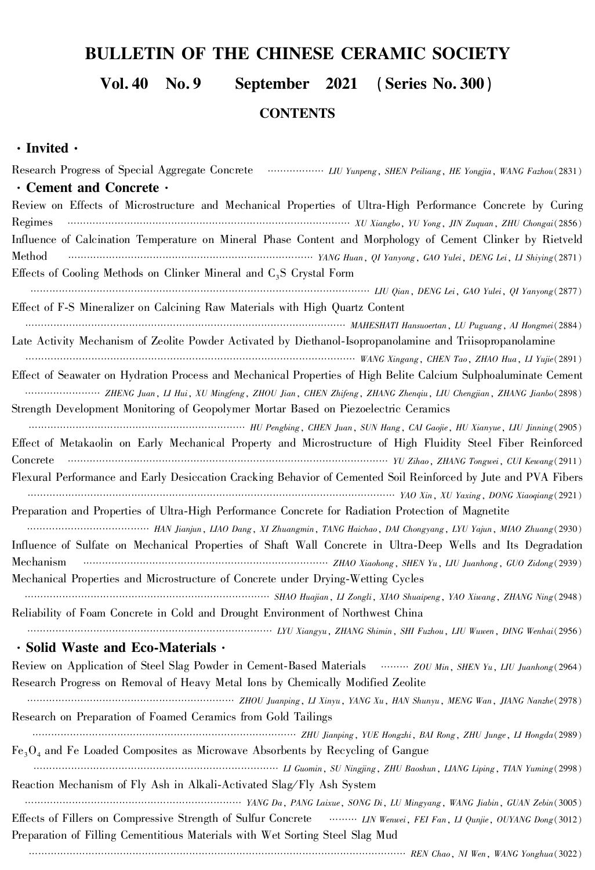## BULLETIN OF THE CHINESE CERAMIC SOCIETY

Vol. 40 No. 9 September 2021 (Series No. 300)

### **CONTENTS**

### ·Invited·

Research Progress of Special Aggregate Concrete ……………… LIU Yunpeng, SHEN Peiliang, HE Yongjia, WANG Fazhou(2831) ·Cement and Concrete· Review on Effects of Microstructure and Mechanical Properties of Ultra-High Performance Concrete by Curing Regimes ……………………………………………………………………………… XU Xiangbo, YU Yong, JIN Zuquan, ZHU Chongai(2856) Influence of Calcination Temperature on Mineral Phase Content and Morphology of Cement Clinker by Rietveld Method …………………………………………………………………… YANG Huan, QI Yanyong, GAO Yulei, DENG Lei, LI Shiying(2871) Effects of Cooling Methods on Clinker Mineral and  $C_3S$  Crystal Form ……………………………………………………………………………………………… LIU Qian, DENG Lei, GAO Yulei, QI Yanyong(2877) Effect of F-S Mineralizer on Calcining Raw Materials with High Quartz Content ………………………………………………………………………………………… MAHESHATI Hansuoertan, LU Puguang, AI Hongmei(2884) Late Activity Mechanism of Zeolite Powder Activated by Diethanol-Isopropanolamine and Triisopropanolamine …………………………………………………………………………………………… WANG Xingang, CHEN Tao, ZHAO Hua, LI Yujie(2891) Effect of Seawater on Hydration Process and Mechanical Properties of High Belite Calcium Sulphoaluminate Cement …………………… ZHENG Juan, LI Hui, XU Mingfeng, ZHOU Jian, CHEN Zhifeng, ZHANG Zhenqiu, LIU Chengjian, ZHANG Jianbo(2898) Strength Development Monitoring of Geopolymer Mortar Based on Piezoelectric Ceramics …………………………………………………………… HU Pengbing, CHEN Juan, SUN Hang, CAI Gaojie, HU Xianyue, LIU Jinning(2905) Effect of Metakaolin on Early Mechanical Property and Microstructure of High Fluidity Steel Fiber Reinforced Concrete ………………………………………………………………………………………… YU Zihao, ZHANG Tongwei, CUI Kewang(2911) Flexural Performance and Early Desiccation Cracking Behavior of Cemented Soil Reinforced by Jute and PVA Fibers ……………………………………………………………………………………………………… YAO Xin, XU Yaxing, DONG Xiaoqiang(2921) Preparation and Properties of Ultra-High Performance Concrete for Radiation Protection of Magnetite ………………………………… HAN Jianjun, LIAO Dang, XI Zhuangmin, TANG Haichao, DAI Chongyang, LYU Yajun, MIAO Zhuang(2930) Influence of Sulfate on Mechanical Properties of Shaft Wall Concrete in Ultra-Deep Wells and Its Degradation Mechanism ……………………………………………………………………… ZHAO Xiaohong, SHEN Yu, LIU Juanhong, GUO Zidong(2939) Mechanical Properties and Microstructure of Concrete under Drying-Wetting Cycles …………………………………………………………………… SHAO Huajian, LI Zongli, XIAO Shuaipeng, YAO Xiwang, ZHANG Ning(2948) Reliability of Foam Concrete in Cold and Drought Environment of Northwest China …………………………………………………………………… LYU Xiangyu, ZHANG Shimin, SHI Fuzhou, LIU Wuwen, DING Wenhai(2956) ·Solid Waste and Eco-Materials· Review on Application of Steel Slag Powder in Cement-Based Materials ……… ZOU Min, SHEN Yu, LIU Juanhong(2964) Research Progress on Removal of Heavy Metal Ions by Chemically Modified Zeolite ………………………………………………………… ZHOU Juanping, LI Xinyu, YANG Xu, HAN Shunyu, MENG Wan, JIANG Nanzhe(2978) Research on Preparation of Foamed Ceramics from Gold Tailings ………………………………………………………………………… ZHU Jianping, YUE Hongzhi, BAI Rong, ZHU Junge, LI Hongda(2989)  $Fe<sub>3</sub>O<sub>4</sub>$  and Fe Loaded Composites as Microwave Absorbents by Recycling of Gangue …………………………………………………………………… LI Guomin, SU Ningjing, ZHU Baoshun, LIANG Liping, TIAN Yuming(2998) Reaction Mechanism of Fly Ash in Alkali-Activated Slag/Fly Ash System …………………………………………………………… YANG Da, PANG Laixue, SONG Di, LU Mingyang, WANG Jiabin, GUAN Zebin(3005) Effects of Fillers on Compressive Strength of Sulfur Concrete ……… LIN Wenwei, FEI Fan, LI Qunjie, OUYANG Dong(3012) Preparation of Filling Cementitious Materials with Wet Sorting Steel Slag Mud

………………………………………………………………………………………………………… REN Chao, NI Wen, WANG Yonghua(3022)